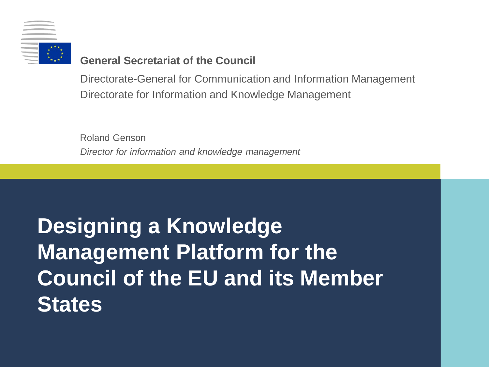

#### **General Secretariat of the Council**

Directorate-General for Communication and Information Management Directorate for Information and Knowledge Management

*Director for information and knowledge management* Roland Genson

# **Designing a Knowledge Management Platform for the Council of the EU and its Member States**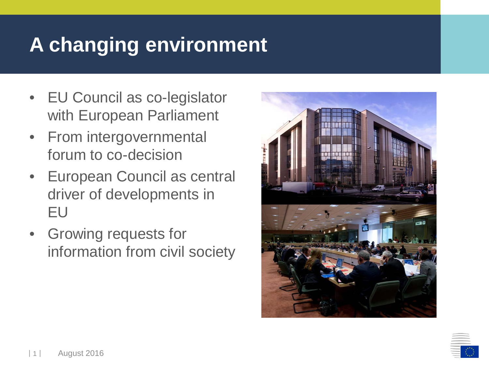### **A changing environment**

- EU Council as co-legislator with European Parliament
- From intergovernmental forum to co-decision
- European Council as central driver of developments in EU
- Growing requests for information from civil society



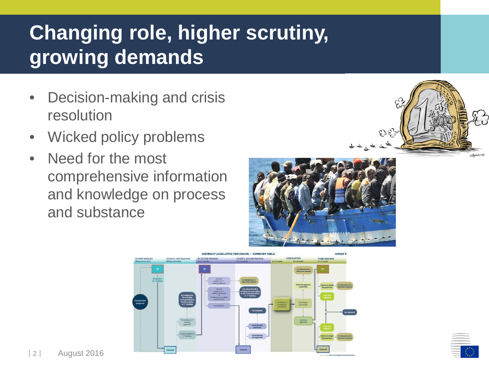## **Changing role, higher scrutiny, growing demands**

- Decision-making and crisis resolution
- Wicked policy problems
- Need for the most comprehensive information and knowledge on process and substance







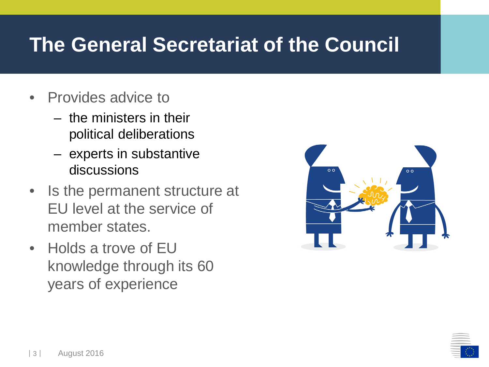#### **The General Secretariat of the Council**

- Provides advice to
	- the ministers in their political deliberations
	- experts in substantive discussions
- Is the permanent structure at EU level at the service of member states.
- Holds a trove of EU knowledge through its 60 years of experience



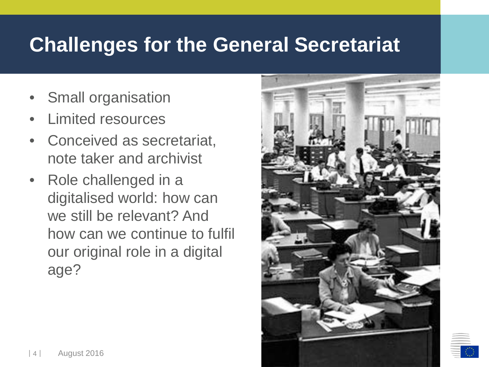#### **Challenges for the General Secretariat**

- Small organisation
- Limited resources
- Conceived as secretariat, note taker and archivist
- Role challenged in a digitalised world: how can we still be relevant? And how can we continue to fulfil our original role in a digital age?

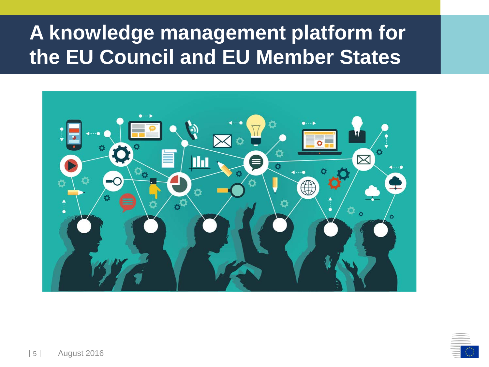### **A knowledge management platform for the EU Council and EU Member States**



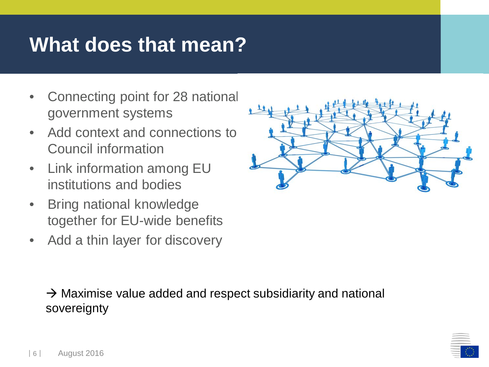### **What does that mean?**

- Connecting point for 28 national government systems
- Add context and connections to Council information
- Link information among EU institutions and bodies
- Bring national knowledge together for EU-wide benefits
- Add a thin layer for discovery



 $\rightarrow$  Maximise value added and respect subsidiarity and national sovereignty

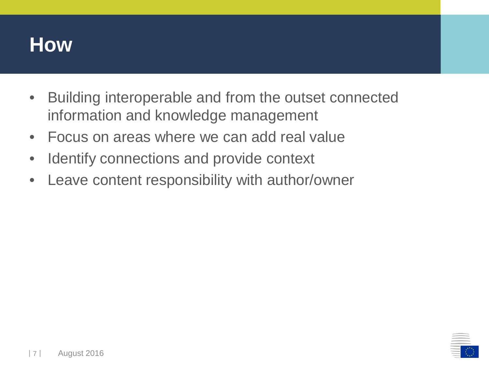#### **How**

- Building interoperable and from the outset connected information and knowledge management
- Focus on areas where we can add real value
- Identify connections and provide context
- Leave content responsibility with author/owner